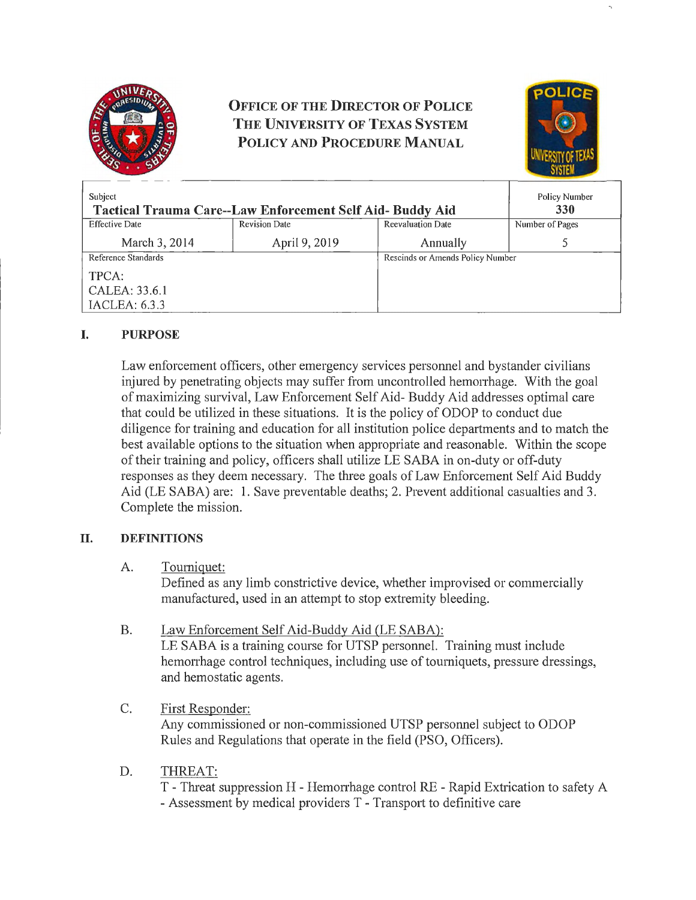

# **OFFICE OF THE DIRECTOR OF POLICE THE UNIVERSITY OF TEXAS SYSTEM POLICY AND PROCEDURE MANUAL**



| Subject<br><b>Tactical Trauma Care--Law Enforcement Self Aid- Buddy Aid</b> |                      |                          | Policy Number<br>330             |  |
|-----------------------------------------------------------------------------|----------------------|--------------------------|----------------------------------|--|
| <b>Effective Date</b>                                                       | <b>Revision Date</b> | <b>Reevaluation Date</b> | Number of Pages                  |  |
| March 3, 2014                                                               | April 9, 2019        | Annually                 |                                  |  |
| Reference Standards                                                         |                      |                          | Rescinds or Amends Policy Number |  |
| TPCA:                                                                       |                      |                          |                                  |  |
| CALEA: 33.6.1                                                               |                      |                          |                                  |  |
| IACLEA: 6.3.3                                                               |                      |                          |                                  |  |

# **I. PURPOSE**

Law enforcement officers, other emergency services personnel and bystander civilians injured by penetrating objects may suffer from uncontrolled hemorrhage. With the goal of maximizing survival, Law Enforcement Self Aid- Buddy Aid addresses optimal care that could be utilized in these situations. It is the policy of ODOP to conduct due diligence for training and education for all institution police departments and to match the best available options to the situation when appropriate and reasonable. Within the scope of their training and policy, officers shall utilize LE SABA in on-duty or off-duty responses as they deem necessary. The three goals of Law Enforcement Self Aid Buddy Aid (LE SABA) are: 1. Save preventable deaths; 2. Prevent additional casualties and 3. Complete the mission.

# **II. DEFINITIONS**

#### A. Tourniquet:

Defined as any limb constrictive device, whether improvised or commercially manufactured, used in an attempt to stop extremity bleeding.

# B. Law Enforcement Self Aid-Buddy Aid (LE SABA):

LE SABA is a training course for UTSP personnel. Training must include hemonhage control techniques, including use of tourniquets, pressure dressings, and hemostatic agents.

# C. First Responder:

Any commissioned or non-commissioned UTSP personnel subject to ODOP Rules and Regulations that operate in the field (PSO, Officers).

# D. THREAT:

T - Threat suppression H - Hemorrhage control RE - Rapid Extrication to safety A - Assessment by medical providers T - Transport to definitive care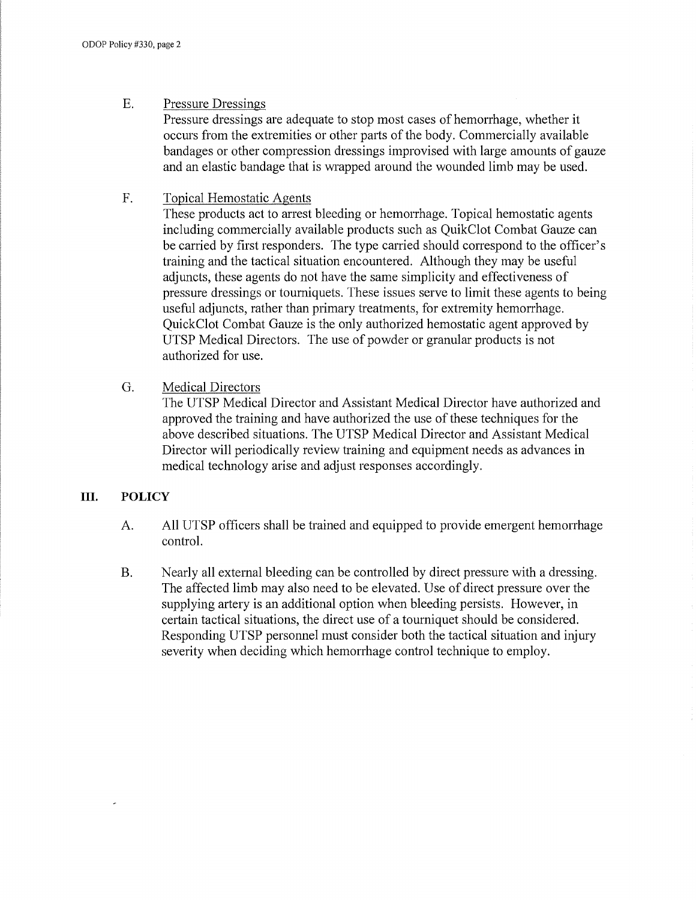#### E. Pressure Dressings

Pressure dressings are adequate to stop most cases of hemorrhage, whether it occurs from the extremities or other parts of the body. Commercially available bandages or other compression dressings improvised with large amounts of gauze and an elastic bandage that is wrapped around the wounded limb may be used.

## F. Topical Hemostatic Agents

These products act to arrest bleeding or hemorrhage. Topical hemostatic agents including commercially available products such as QuikClot Combat Gauze can be carried by first responders. The type carried should correspond to the officer's training and the tactical situation encountered. Although they may be useful adjuncts, these agents do not have the same simplicity and effectiveness of pressure dressings or tourniquets. These issues serve to limit these agents to being useful adjuncts, rather than primary treatments, for extremity hemorrhage. QuickClot Combat Gauze is the only authorized hemostatic agent approved by UTSP Medical Directors. The use of powder or granular products is not authorized for use.

## G. Medical Directors

The UTSP Medical Director and Assistant Medical Director have authorized and approved the training and have authorized the use of these techniques for the above described situations. The UTSP Medical Director and Assistant Medical Director will periodically review training and equipment needs as advances in medical technology arise and adjust responses accordingly.

#### **III. POLICY**

- A. All UTSP officers shall be trained and equipped to provide emergent hemorrhage control.
- B. Nearly all external bleeding can be controlled by direct pressure with a dressing. The affected limb may also need to be elevated. Use of direct pressure over the supplying artery is an additional option when bleeding persists. However, in certain tactical situations, the direct use of a tourniquet should be considered. Responding UTSP personnel must consider both the tactical situation and injury severity when deciding which hemorrhage control technique to employ.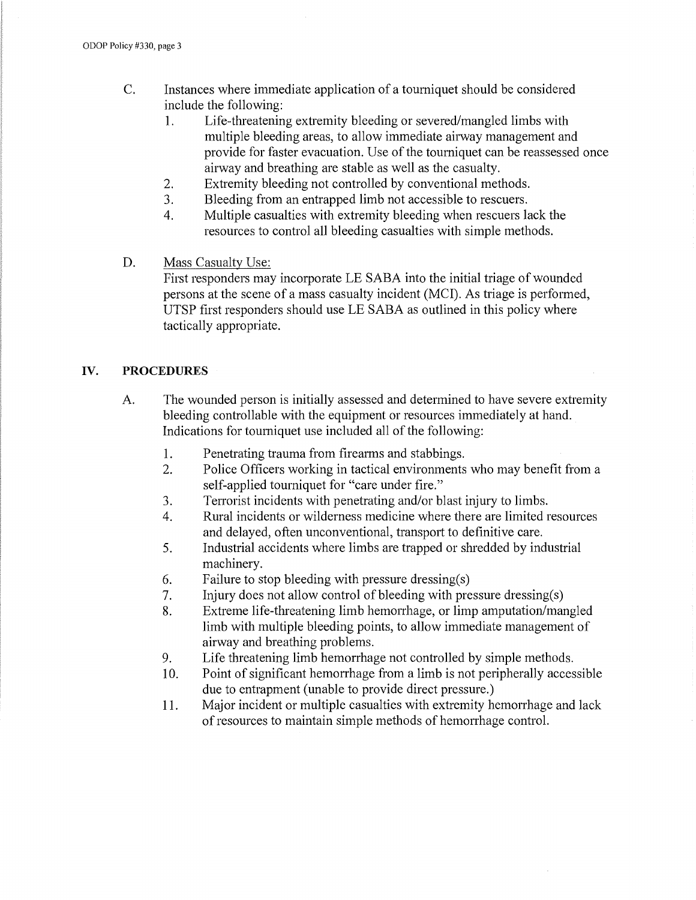- C. Instances where immediate application of a tourniquet should be considered include the following:
	- 1. Life-threatening extremity bleeding or severed/mangled limbs with multiple bleeding areas, to allow immediate airway management and provide for faster evacuation. Use of the tourniquet can be reassessed once airway and breathing are stable as well as the casualty.
	- 2. Extremity bleeding not controlled by conventional methods.
	- 3. Bleeding from an entrapped limb not accessible to rescuers.
	- 4. Multiple casualties with extremity bleeding when rescuers lack the resources to control all bleeding casualties with simple methods.
- D. Mass Casualty Use:

First responders may incorporate LE SABA into the initial triage of wounded persons at the scene of a mass casualty incident (MCI). As triage is performed, UTSP first responders should use LE SABA as outlined in this policy where tactically appropriate.

## IV. **PROCEDURES**

- A. The wounded person is initially assessed and determined to have severe extremity bleeding controllable with the equipment or resources immediately at hand. Indications for tourniquet use included all of the following:
	- 1. Penetrating trauma from firearms and stabbings.
	- 2. Police Officers working in tactical environments who may benefit from a self-applied tourniquet for "care under fire."
	- 3. Terrorist incidents with penetrating and/or blast injury to limbs.
	- 4. Rural incidents or wilderness medicine where there are limited resources and delayed, often unconventional, transport to definitive care.
	- 5. Industrial accidents where limbs are trapped or shredded by industrial machinery.
	- 6. Failure to stop bleeding with pressure dressing(s)
	- 7. Injury does not allow control of bleeding with pressure dressing(s)
	- 8. Extreme life-threatening limb hemorrhage, or limp amputation/mangled limb with multiple bleeding points, to allow immediate management of airway and breathing problems.
	- 9. Life threatening limb hemorrhage not controlled by simple methods.
	- 10. Point of significant hemorrhage from a limb is not peripherally accessible due to entrapment (unable to provide direct pressure.)
	- 11. Major incident or multiple casualties with extremity hemorrhage and lack of resources to maintain simple methods of hemorrhage control.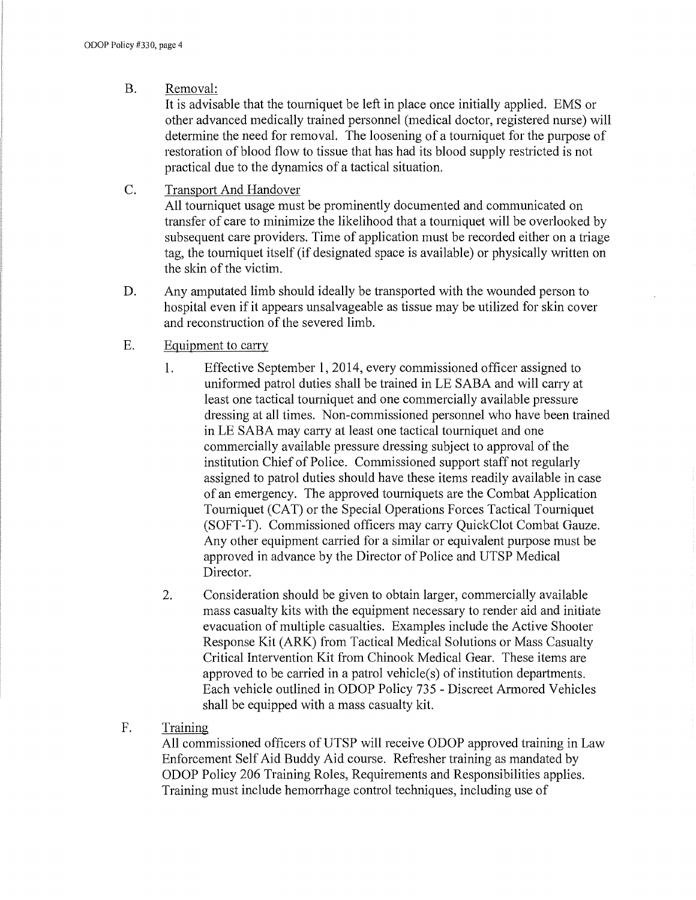## B. Removal:

It is advisable that the tourniquet be left in place once initially applied. EMS or other advanced medically trained personnel (medical doctor, registered nurse) will determine the need for removal. The loosening of a tourniquet for the purpose of restoration of blood flow to tissue that has had its blood supply restricted is not practical due to the dynamics of a tactical situation.

#### C. Transport And Handover

All tourniquet usage must be prominently documented and communicated on transfer of care to minimize the likelihood that a tourniquet will be overlooked by subsequent care providers. Time of application must be recorded either on a triage tag, the tourniquet itself (if designated space is available) or physically written on the skin of the victim.

D. Any amputated limb should ideally be transported with the wounded person to hospital even if it appears unsalvageable as tissue may be utilized for skin cover and reconstruction of the severed limb.

## E. Equipment to carry

- 1. Effective September 1, 2014, every commissioned officer assigned to uniformed patrol duties shall be trained in LE SABA and will carry at least one tactical tourniquet and one commercially available pressure dressing at all times. Non-commissioned personnel who have been trained in LE SABA may carry at least one tactical tourniquet and one commercially available pressure dressing subject to approval of the institution Chief of Police. Commissioned support staff not regularly assigned to patrol duties should have these items readily available in case of an emergency. The approved tourniquets are the Combat Application Tourniquet (CAT) or the Special Operations Forces Tactical Tourniquet (SOFT-T). Commissioned officers may carry QuickClot Combat Gauze. Any other equipment carried for a similar or equivalent purpose must be approved in advance by the Director of Police and UTSP Medical Director.
- 2. Consideration should be given to obtain larger, commercially available mass casualty kits with the equipment necessary to render aid and initiate evacuation of multiple casualties. Examples include the Active Shooter Response Kit (ARK) from Tactical Medical Solutions or Mass Casualty Critical Intervention Kit from Chinook Medical Gear. These items are approved to be carried in a patrol vehicle(s) of institution departments. Each vehicle outlined in ODOP Policy 735 - Discreet Armored Vehicles shall be equipped with a mass casualty kit.
- F. Training

All commissioned officers ofUTSP will receive ODOP approved training in Law Enforcement Self Aid Buddy Aid course. Refresher training as mandated by ODOP Policy 206 Training Roles, Requirements and Responsibilities applies. Training must include hemorrhage control techniques, including use of